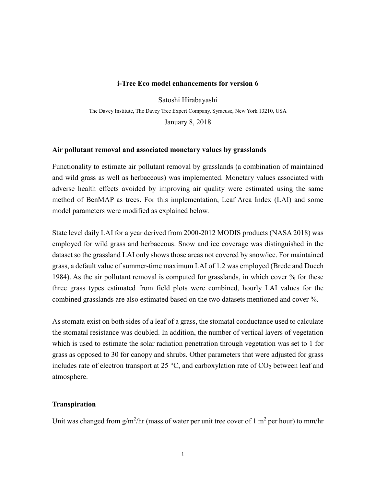#### **i-Tree Eco model enhancements for version 6**

Satoshi Hirabayashi

The Davey Institute, The Davey Tree Expert Company, Syracuse, New York 13210, USA

January 8, 2018

### **Air pollutant removal and associated monetary values by grasslands**

Functionality to estimate air pollutant removal by grasslands (a combination of maintained and wild grass as well as herbaceous) was implemented. Monetary values associated with adverse health effects avoided by improving air quality were estimated using the same method of BenMAP as trees. For this implementation, Leaf Area Index (LAI) and some model parameters were modified as explained below.

State level daily LAI for a year derived from 2000-2012 MODIS products (NASA 2018) was employed for wild grass and herbaceous. Snow and ice coverage was distinguished in the dataset so the grassland LAI only shows those areas not covered by snow/ice. For maintained grass, a default value of summer-time maximum LAI of 1.2 was employed (Brede and Duech 1984). As the air pollutant removal is computed for grasslands, in which cover % for these three grass types estimated from field plots were combined, hourly LAI values for the combined grasslands are also estimated based on the two datasets mentioned and cover %.

As stomata exist on both sides of a leaf of a grass, the stomatal conductance used to calculate the stomatal resistance was doubled. In addition, the number of vertical layers of vegetation which is used to estimate the solar radiation penetration through vegetation was set to 1 for grass as opposed to 30 for canopy and shrubs. Other parameters that were adjusted for grass includes rate of electron transport at 25  $\degree$ C, and carboxylation rate of CO<sub>2</sub> between leaf and atmosphere.

# **Transpiration**

Unit was changed from  $g/m^2/hr$  (mass of water per unit tree cover of 1 m<sup>2</sup> per hour) to mm/hr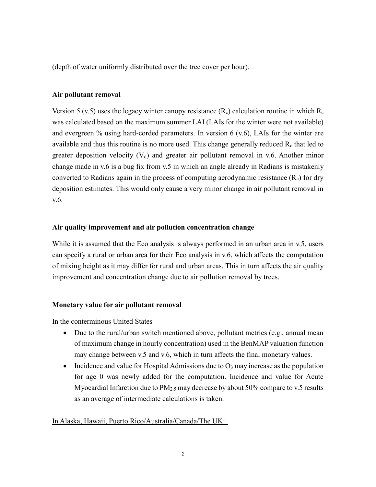(depth of water uniformly distributed over the tree cover per hour).

# **Air pollutant removal**

Version 5 (v.5) uses the legacy winter canopy resistance  $(R_c)$  calculation routine in which  $R_c$ was calculated based on the maximum summer LAI (LAIs for the winter were not available) and evergreen % using hard-corded parameters. In version 6 (v.6), LAIs for the winter are available and thus this routine is no more used. This change generally reduced  $R_c$  that led to greater deposition velocity  $(V_d)$  and greater air pollutant removal in v.6. Another minor change made in v.6 is a bug fix from v.5 in which an angle already in Radians is mistakenly converted to Radians again in the process of computing aerodynamic resistance  $(R_a)$  for dry deposition estimates. This would only cause a very minor change in air pollutant removal in v.6.

# **Air quality improvement and air pollution concentration change**

While it is assumed that the Eco analysis is always performed in an urban area in v.5, users can specify a rural or urban area for their Eco analysis in v.6, which affects the computation of mixing height as it may differ for rural and urban areas. This in turn affects the air quality improvement and concentration change due to air pollution removal by trees.

# **Monetary value for air pollutant removal**

In the conterminous United States

- Due to the rural/urban switch mentioned above, pollutant metrics (e.g., annual mean of maximum change in hourly concentration) used in the BenMAP valuation function may change between v.5 and v.6, which in turn affects the final monetary values.
- Incidence and value for Hospital Admissions due to  $O_3$  may increase as the population for age 0 was newly added for the computation. Incidence and value for Acute Myocardial Infarction due to PM<sub>2.5</sub> may decrease by about 50% compare to v.5 results as an average of intermediate calculations is taken.

# In Alaska, Hawaii, Puerto Rico/Australia/Canada/The UK: